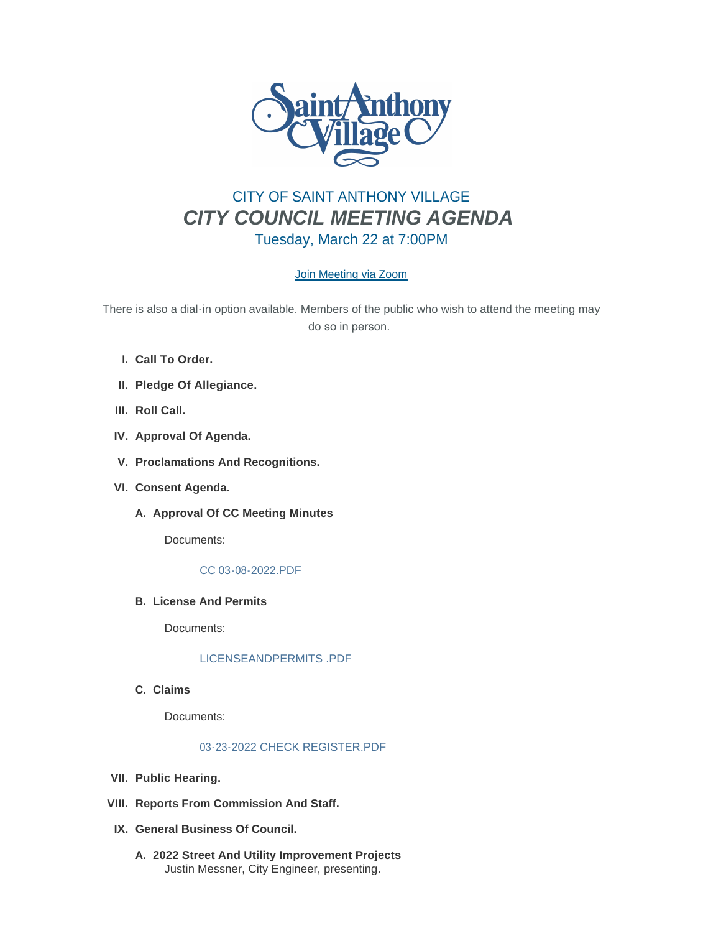

# CITY OF SAINT ANTHONY VILLAGE *CITY COUNCIL MEETING AGENDA* Tuesday, March 22 at 7:00PM

## [Join Meeting via Zoom](https://savmn.com/Calendar.aspx?EID=1569)

There is also a dial-in option available. Members of the public who wish to attend the meeting may do so in person.

- **Call To Order. I.**
- **Pledge Of Allegiance. II.**
- III. Roll Call.
- **Approval Of Agenda. IV.**
- **Proclamations And Recognitions. V.**
- **Consent Agenda. VI.**
	- A. Approval Of CC Meeting Minutes

Documents:

#### [CC 03-08-2022.PDF](http://www.savmn.com/AgendaCenter/ViewFile/Item/798?fileID=6778)

**License And Permits B.**

Documents:

## [LICENSEANDPERMITS .PDF](http://www.savmn.com/AgendaCenter/ViewFile/Item/773?fileID=6781)

**Claims C.**

Documents:

## [03-23-2022 CHECK REGISTER.PDF](http://www.savmn.com/AgendaCenter/ViewFile/Item/775?fileID=6779)

- **Public Hearing. VII.**
- **Reports From Commission And Staff. VIII.**
- **General Business Of Council. IX.**
	- **2022 Street And Utility Improvement Projects A.** Justin Messner, City Engineer, presenting.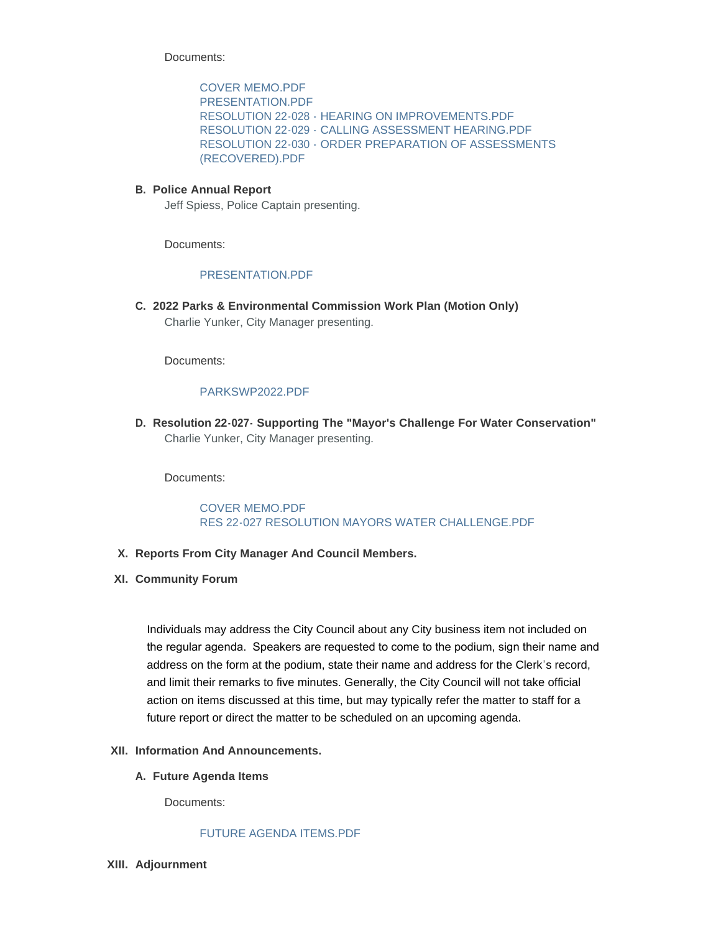Documents:

[COVER MEMO.PDF](http://www.savmn.com/AgendaCenter/ViewFile/Item/777?fileID=6763) [PRESENTATION.PDF](http://www.savmn.com/AgendaCenter/ViewFile/Item/777?fileID=6764) [RESOLUTION 22-028 - HEARING ON IMPROVEMENTS.PDF](http://www.savmn.com/AgendaCenter/ViewFile/Item/777?fileID=6775) [RESOLUTION 22-029 - CALLING ASSESSMENT HEARING.PDF](http://www.savmn.com/AgendaCenter/ViewFile/Item/777?fileID=6776) [RESOLUTION 22-030 - ORDER PREPARATION OF ASSESSMENTS](http://www.savmn.com/AgendaCenter/ViewFile/Item/777?fileID=6797)  (RECOVERED).PDF

#### **Police Annual Report B.**

Jeff Spiess, Police Captain presenting.

Documents:

#### [PRESENTATION.PDF](http://www.savmn.com/AgendaCenter/ViewFile/Item/771?fileID=6782)

**2022 Parks & Environmental Commission Work Plan (Motion Only) C.** Charlie Yunker, City Manager presenting.

Documents:

### [PARKSWP2022.PDF](http://www.savmn.com/AgendaCenter/ViewFile/Item/739?fileID=6774)

**Resolution 22-027- Supporting The "Mayor's Challenge For Water Conservation" D.** Charlie Yunker, City Manager presenting.

Documents:

[COVER MEMO.PDF](http://www.savmn.com/AgendaCenter/ViewFile/Item/769?fileID=6783) [RES 22-027 RESOLUTION MAYORS WATER CHALLENGE.PDF](http://www.savmn.com/AgendaCenter/ViewFile/Item/769?fileID=6784)

- **Reports From City Manager And Council Members. X.**
- **Community Forum XI.**

Individuals may address the City Council about any City business item not included on the regular agenda. Speakers are requested to come to the podium, sign their name and address on the form at the podium, state their name and address for the Clerk's record, and limit their remarks to five minutes. Generally, the City Council will not take official action on items discussed at this time, but may typically refer the matter to staff for a future report or direct the matter to be scheduled on an upcoming agenda.

#### **Information And Announcements. XII.**

**Future Agenda Items A.**

Documents:

#### [FUTURE AGENDA ITEMS.PDF](http://www.savmn.com/AgendaCenter/ViewFile/Item/796?fileID=6780)

**Adjournment XIII.**